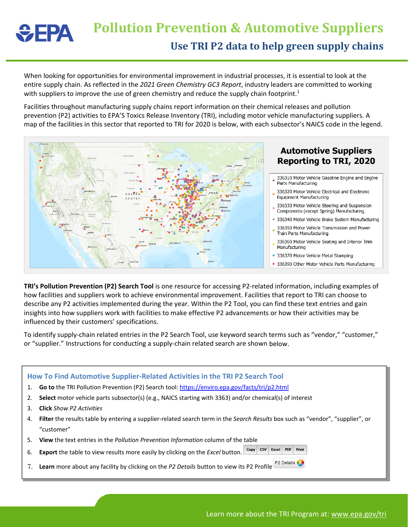## **Pollution Prevention & Automotive Suppliers**  $\div$ EPA **Use TRI P2 data to help green supply chains**

When looking for opportunities for environmental improvement in industrial processes, it is essential to look at the entire supply chain. As reflected in the *2021 Green Chemistry GC3 Report*, industry leaders are committed to working with suppliers to improve the use of green chemistry and reduce the supply chain footprint.<sup>1</sup>

Facilities throughout manufacturing supply chains report information on their chemical releases and pollution prevention (P2) activities to EPA'S Toxics Release Inventory (TRI), including motor vehicle manufacturing suppliers. A map of the facilities in this sector that reported to TRI for 2020 is below, with each subsector's NAICS code in the legend.



**TRI's Pollution Prevention (P2) Search Tool** is one resource for accessing P2-related information, including examples of how facilities and suppliers work to achieve environmental improvement. Facilities that report to TRI can choose to describe any P2 activities implemented during the year. Within the P2 Tool, you can find these text entries and gain insights into how suppliers work with facilities to make effective P2 advancements or how their activities may be influenced by their customers' specifications.

To identify supply-chain related entries in the P2 Search Tool, use keyword search terms such as "vendor," "customer," or "supplier." Instructions for conducting a supply-chain related search are shown below.

| How To Find Automotive Supplier-Related Activities in the TRI P2 Search Tool |                                                                                                                                |
|------------------------------------------------------------------------------|--------------------------------------------------------------------------------------------------------------------------------|
| 1.                                                                           | Go to the TRI Pollution Prevention (P2) Search tool: https://enviro.epa.gov/facts/tri/p2.html                                  |
| 2.                                                                           | Select motor vehicle parts subsector(s) (e.g., NAICS starting with 3363) and/or chemical(s) of interest                        |
| 3.                                                                           | <b>Click</b> Show P2 Activities                                                                                                |
| 4.                                                                           | Filter the results table by entering a supplier-related search term in the Search Results box such as "vendor", "supplier", or |
|                                                                              | "customer"                                                                                                                     |
| 5.                                                                           | View the text entries in the Pollution Prevention Information column of the table                                              |
| 6.                                                                           | Excel PDF<br>Print<br>Copy CSV<br><b>Export</b> the table to view results more easily by clicking on the <i>Excel</i> button.  |
| 7.                                                                           | P2 Details &<br>Learn more about any facility by clicking on the P2 Details button to view its P2 Profile                      |